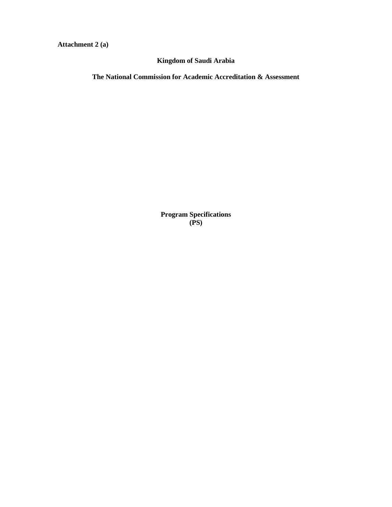**Attachment 2 (a)** 

**Kingdom of Saudi Arabia**

**The National Commission for Academic Accreditation & Assessment**

**Program Specifications (PS)**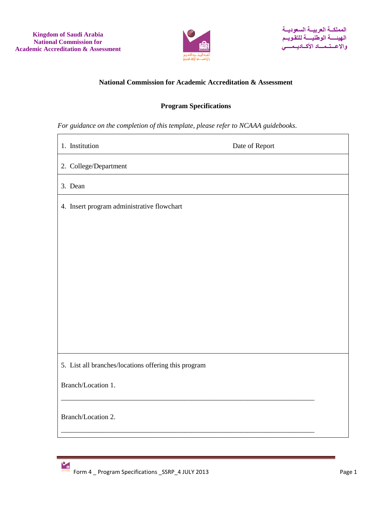

## **National Commission for Academic Accreditation & Assessment**

# **Program Specifications**

*For guidance on the completion of this template, please refer to NCAAA guidebooks.*

| 1. Institution                                       | Date of Report |
|------------------------------------------------------|----------------|
| 2. College/Department                                |                |
| 3. Dean                                              |                |
| 4. Insert program administrative flowchart           |                |
|                                                      |                |
|                                                      |                |
|                                                      |                |
|                                                      |                |
|                                                      |                |
|                                                      |                |
|                                                      |                |
| 5. List all branches/locations offering this program |                |
| Branch/Location 1.                                   |                |
| Branch/Location 2.                                   |                |
|                                                      |                |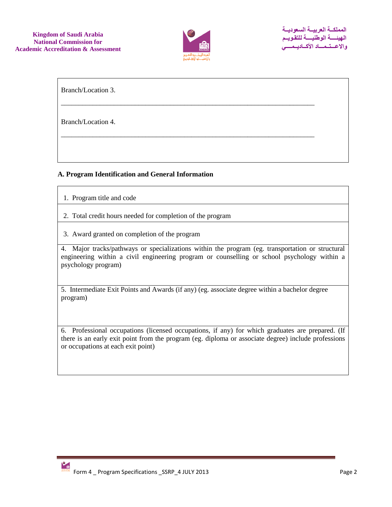

\_\_\_\_\_\_\_\_\_\_\_\_\_\_\_\_\_\_\_\_\_\_\_\_\_\_\_\_\_\_\_\_\_\_\_\_\_\_\_\_\_\_\_\_\_\_\_\_\_\_\_\_\_\_\_\_\_\_\_\_\_\_\_\_\_\_\_\_\_\_\_\_

\_\_\_\_\_\_\_\_\_\_\_\_\_\_\_\_\_\_\_\_\_\_\_\_\_\_\_\_\_\_\_\_\_\_\_\_\_\_\_\_\_\_\_\_\_\_\_\_\_\_\_\_\_\_\_\_\_\_\_\_\_\_\_\_\_\_\_\_\_\_\_\_

Branch/Location 3.

Branch/Location 4.

## **A. Program Identification and General Information**

- 1. Program title and code
- 2. Total credit hours needed for completion of the program
- 3. Award granted on completion of the program

4. Major tracks/pathways or specializations within the program (eg. transportation or structural engineering within a civil engineering program or counselling or school psychology within a psychology program)

5. Intermediate Exit Points and Awards (if any) (eg. associate degree within a bachelor degree program)

6. Professional occupations (licensed occupations, if any) for which graduates are prepared. (If there is an early exit point from the program (eg. diploma or associate degree) include professions or occupations at each exit point)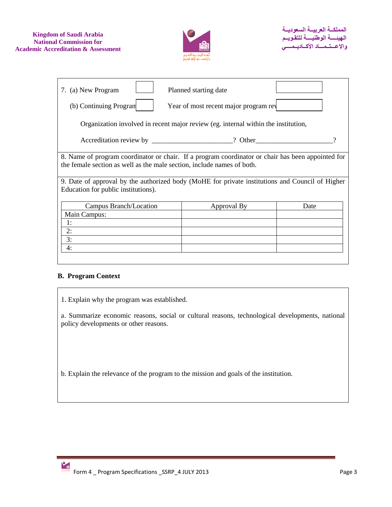

| 7. (a) New Program                                                                                                                                                          | Planned starting date                 |      |  |  |  |  |  |  |  |  |
|-----------------------------------------------------------------------------------------------------------------------------------------------------------------------------|---------------------------------------|------|--|--|--|--|--|--|--|--|
| (b) Continuing Program                                                                                                                                                      | Year of most recent major program rev |      |  |  |  |  |  |  |  |  |
| Organization involved in recent major review (eg. internal within the institution,                                                                                          |                                       |      |  |  |  |  |  |  |  |  |
|                                                                                                                                                                             |                                       |      |  |  |  |  |  |  |  |  |
| 8. Name of program coordinator or chair. If a program coordinator or chair has been appointed for<br>the female section as well as the male section, include names of both. |                                       |      |  |  |  |  |  |  |  |  |
| 9. Date of approval by the authorized body (MoHE for private institutions and Council of Higher<br>Education for public institutions).                                      |                                       |      |  |  |  |  |  |  |  |  |
| Campus Branch/Location                                                                                                                                                      | Approval By                           | Date |  |  |  |  |  |  |  |  |
| Main Campus:                                                                                                                                                                |                                       |      |  |  |  |  |  |  |  |  |
| 1:                                                                                                                                                                          |                                       |      |  |  |  |  |  |  |  |  |
| 2:                                                                                                                                                                          |                                       |      |  |  |  |  |  |  |  |  |
| 3:                                                                                                                                                                          |                                       |      |  |  |  |  |  |  |  |  |
| 4:                                                                                                                                                                          |                                       |      |  |  |  |  |  |  |  |  |

### **B. Program Context**

1. Explain why the program was established.

a. Summarize economic reasons, social or cultural reasons, technological developments, national policy developments or other reasons.

b. Explain the relevance of the program to the mission and goals of the institution.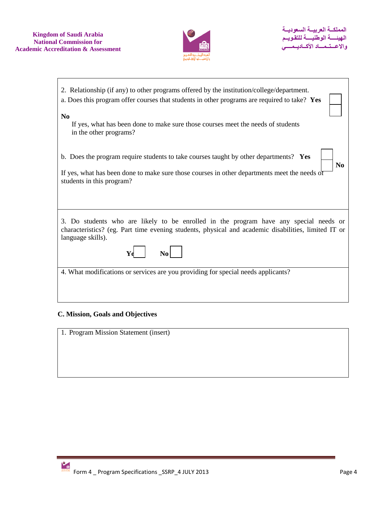

| 2. Relationship (if any) to other programs offered by the institution/college/department.<br>a. Does this program offer courses that students in other programs are required to take? Yes                         |
|-------------------------------------------------------------------------------------------------------------------------------------------------------------------------------------------------------------------|
| N <sub>0</sub><br>If yes, what has been done to make sure those courses meet the needs of students                                                                                                                |
| in the other programs?                                                                                                                                                                                            |
| b. Does the program require students to take courses taught by other departments? Yes<br>N <sub>0</sub>                                                                                                           |
| If yes, what has been done to make sure those courses in other departments meet the needs of<br>students in this program?                                                                                         |
|                                                                                                                                                                                                                   |
| 3. Do students who are likely to be enrolled in the program have any special needs or<br>characteristics? (eg. Part time evening students, physical and academic disabilities, limited IT or<br>language skills). |
|                                                                                                                                                                                                                   |
| 4. What modifications or services are you providing for special needs applicants?                                                                                                                                 |
|                                                                                                                                                                                                                   |

# **C. Mission, Goals and Objectives**

1. Program Mission Statement (insert)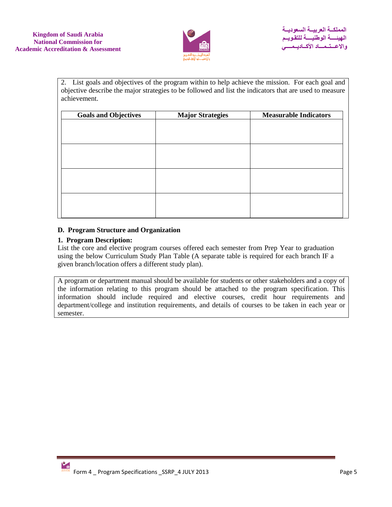

2. List goals and objectives of the program within to help achieve the mission. For each goal and objective describe the major strategies to be followed and list the indicators that are used to measure achievement.

| <b>Goals and Objectives</b> | <b>Major Strategies</b> | <b>Measurable Indicators</b> |
|-----------------------------|-------------------------|------------------------------|
|                             |                         |                              |
|                             |                         |                              |
|                             |                         |                              |
|                             |                         |                              |
|                             |                         |                              |
|                             |                         |                              |
|                             |                         |                              |
|                             |                         |                              |
|                             |                         |                              |
|                             |                         |                              |
|                             |                         |                              |

## **D. Program Structure and Organization**

## **1. Program Description:**

List the core and elective program courses offered each semester from Prep Year to graduation using the below Curriculum Study Plan Table (A separate table is required for each branch IF a given branch/location offers a different study plan).

A program or department manual should be available for students or other stakeholders and a copy of the information relating to this program should be attached to the program specification. This information should include required and elective courses, credit hour requirements and department/college and institution requirements, and details of courses to be taken in each year or semester.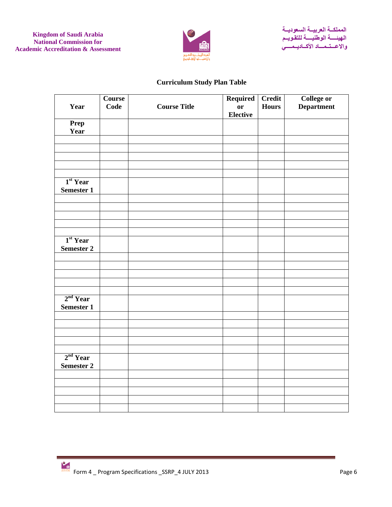

# **Curriculum Study Plan Table**

|                      | <b>Course</b> |                     | <b>Required</b> | <b>Credit</b> | <b>College or</b> |
|----------------------|---------------|---------------------|-----------------|---------------|-------------------|
| Year                 | Code          | <b>Course Title</b> | $\mathbf{or}$   | <b>Hours</b>  | <b>Department</b> |
|                      |               |                     | <b>Elective</b> |               |                   |
| Prep                 |               |                     |                 |               |                   |
| Year                 |               |                     |                 |               |                   |
|                      |               |                     |                 |               |                   |
|                      |               |                     |                 |               |                   |
|                      |               |                     |                 |               |                   |
|                      |               |                     |                 |               |                   |
|                      |               |                     |                 |               |                   |
| 1 <sup>st</sup> Year |               |                     |                 |               |                   |
| <b>Semester 1</b>    |               |                     |                 |               |                   |
|                      |               |                     |                 |               |                   |
|                      |               |                     |                 |               |                   |
|                      |               |                     |                 |               |                   |
|                      |               |                     |                 |               |                   |
|                      |               |                     |                 |               |                   |
| 1 <sup>st</sup> Year |               |                     |                 |               |                   |
| <b>Semester 2</b>    |               |                     |                 |               |                   |
|                      |               |                     |                 |               |                   |
|                      |               |                     |                 |               |                   |
|                      |               |                     |                 |               |                   |
|                      |               |                     |                 |               |                   |
|                      |               |                     |                 |               |                   |
| 2 <sup>nd</sup> Year |               |                     |                 |               |                   |
| <b>Semester 1</b>    |               |                     |                 |               |                   |
|                      |               |                     |                 |               |                   |
|                      |               |                     |                 |               |                   |
|                      |               |                     |                 |               |                   |
|                      |               |                     |                 |               |                   |
|                      |               |                     |                 |               |                   |
| 2 <sup>nd</sup> Year |               |                     |                 |               |                   |
| <b>Semester 2</b>    |               |                     |                 |               |                   |
|                      |               |                     |                 |               |                   |
|                      |               |                     |                 |               |                   |
|                      |               |                     |                 |               |                   |
|                      |               |                     |                 |               |                   |
|                      |               |                     |                 |               |                   |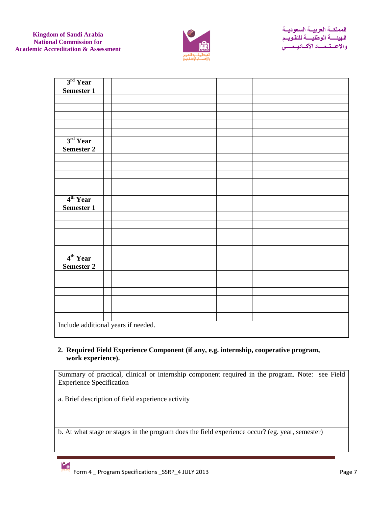

| 3rd Year                           |                                     |  |  |  |  |  |  |  |  |  |  |
|------------------------------------|-------------------------------------|--|--|--|--|--|--|--|--|--|--|
| Semester 1                         |                                     |  |  |  |  |  |  |  |  |  |  |
|                                    |                                     |  |  |  |  |  |  |  |  |  |  |
|                                    |                                     |  |  |  |  |  |  |  |  |  |  |
|                                    |                                     |  |  |  |  |  |  |  |  |  |  |
|                                    |                                     |  |  |  |  |  |  |  |  |  |  |
|                                    |                                     |  |  |  |  |  |  |  |  |  |  |
| 3 <sup>rd</sup> Year<br>Semester 2 |                                     |  |  |  |  |  |  |  |  |  |  |
|                                    |                                     |  |  |  |  |  |  |  |  |  |  |
|                                    |                                     |  |  |  |  |  |  |  |  |  |  |
|                                    |                                     |  |  |  |  |  |  |  |  |  |  |
|                                    |                                     |  |  |  |  |  |  |  |  |  |  |
|                                    |                                     |  |  |  |  |  |  |  |  |  |  |
|                                    |                                     |  |  |  |  |  |  |  |  |  |  |
| 4 <sup>th</sup> Year<br>Semester 1 |                                     |  |  |  |  |  |  |  |  |  |  |
|                                    |                                     |  |  |  |  |  |  |  |  |  |  |
|                                    |                                     |  |  |  |  |  |  |  |  |  |  |
|                                    |                                     |  |  |  |  |  |  |  |  |  |  |
|                                    |                                     |  |  |  |  |  |  |  |  |  |  |
|                                    |                                     |  |  |  |  |  |  |  |  |  |  |
| 4 <sup>th</sup> Year<br>Semester 2 |                                     |  |  |  |  |  |  |  |  |  |  |
|                                    |                                     |  |  |  |  |  |  |  |  |  |  |
|                                    |                                     |  |  |  |  |  |  |  |  |  |  |
|                                    |                                     |  |  |  |  |  |  |  |  |  |  |
|                                    |                                     |  |  |  |  |  |  |  |  |  |  |
|                                    |                                     |  |  |  |  |  |  |  |  |  |  |
|                                    |                                     |  |  |  |  |  |  |  |  |  |  |
|                                    | Include additional years if needed. |  |  |  |  |  |  |  |  |  |  |

## **2. Required Field Experience Component (if any, e.g. internship, cooperative program, work experience).**

Summary of practical, clinical or internship component required in the program. Note: see Field Experience Specification

a. Brief description of field experience activity

b. At what stage or stages in the program does the field experience occur? (eg. year, semester)

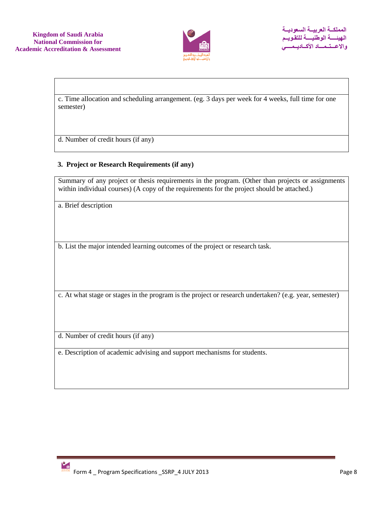

c. Time allocation and scheduling arrangement. (eg. 3 days per week for 4 weeks, full time for one semester)

d. Number of credit hours (if any)

## **3. Project or Research Requirements (if any)**

Summary of any project or thesis requirements in the program. (Other than projects or assignments within individual courses) (A copy of the requirements for the project should be attached.)

a. Brief description

b. List the major intended learning outcomes of the project or research task.

c. At what stage or stages in the program is the project or research undertaken? (e.g. year, semester)

d. Number of credit hours (if any)

e. Description of academic advising and support mechanisms for students.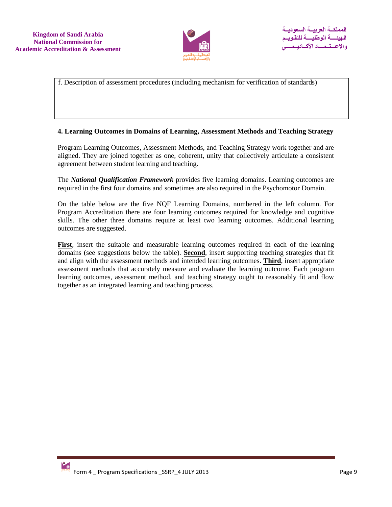

f. Description of assessment procedures (including mechanism for verification of standards)

#### **4. Learning Outcomes in Domains of Learning, Assessment Methods and Teaching Strategy**

Program Learning Outcomes, Assessment Methods, and Teaching Strategy work together and are aligned. They are joined together as one, coherent, unity that collectively articulate a consistent agreement between student learning and teaching.

The *National Qualification Framework* provides five learning domains. Learning outcomes are required in the first four domains and sometimes are also required in the Psychomotor Domain.

On the table below are the five NQF Learning Domains, numbered in the left column. For Program Accreditation there are four learning outcomes required for knowledge and cognitive skills. The other three domains require at least two learning outcomes. Additional learning outcomes are suggested.

**First**, insert the suitable and measurable learning outcomes required in each of the learning domains (see suggestions below the table). **Second**, insert supporting teaching strategies that fit and align with the assessment methods and intended learning outcomes. **Third**, insert appropriate assessment methods that accurately measure and evaluate the learning outcome. Each program learning outcomes, assessment method, and teaching strategy ought to reasonably fit and flow together as an integrated learning and teaching process.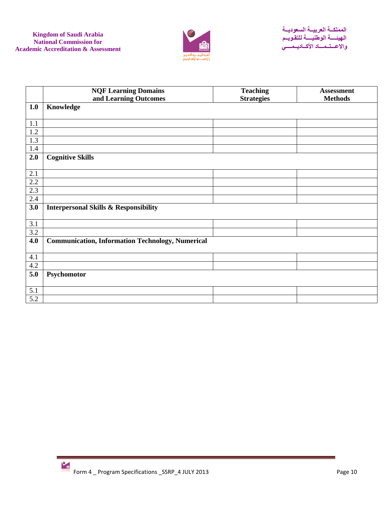

|                  | <b>NQF Learning Domains</b>                             | <b>Teaching</b>   | <b>Assessment</b> |
|------------------|---------------------------------------------------------|-------------------|-------------------|
|                  | and Learning Outcomes                                   | <b>Strategies</b> | <b>Methods</b>    |
| 1.0              | Knowledge                                               |                   |                   |
| 1.1              |                                                         |                   |                   |
| 1.2              |                                                         |                   |                   |
| 1.3              |                                                         |                   |                   |
| 1.4              |                                                         |                   |                   |
| 2.0              | <b>Cognitive Skills</b>                                 |                   |                   |
|                  |                                                         |                   |                   |
| 2.1              |                                                         |                   |                   |
| 2.2              |                                                         |                   |                   |
| 2.3              |                                                         |                   |                   |
| 2.4              |                                                         |                   |                   |
| 3.0              | <b>Interpersonal Skills &amp; Responsibility</b>        |                   |                   |
|                  |                                                         |                   |                   |
| 3.1              |                                                         |                   |                   |
| $\overline{3.2}$ |                                                         |                   |                   |
| 4.0              | <b>Communication, Information Technology, Numerical</b> |                   |                   |
|                  |                                                         |                   |                   |
| 4.1              |                                                         |                   |                   |
| 4.2              |                                                         |                   |                   |
| 5.0              | Psychomotor                                             |                   |                   |
|                  |                                                         |                   |                   |
| 5.1              |                                                         |                   |                   |
| 5.2              |                                                         |                   |                   |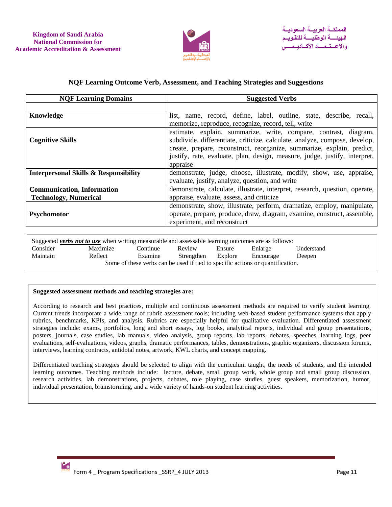

#### **NQF Learning Outcome Verb, Assessment, and Teaching Strategies and Suggestions**

| <b>Suggested Verbs</b>                                                      |  |  |  |  |  |
|-----------------------------------------------------------------------------|--|--|--|--|--|
|                                                                             |  |  |  |  |  |
| list, name, record, define, label, outline, state, describe, recall,        |  |  |  |  |  |
| memorize, reproduce, recognize, record, tell, write                         |  |  |  |  |  |
| estimate, explain, summarize, write, compare, contrast, diagram,            |  |  |  |  |  |
| subdivide, differentiate, criticize, calculate, analyze, compose, develop,  |  |  |  |  |  |
| create, prepare, reconstruct, reorganize, summarize, explain, predict,      |  |  |  |  |  |
| justify, rate, evaluate, plan, design, measure, judge, justify, interpret,  |  |  |  |  |  |
| appraise                                                                    |  |  |  |  |  |
| demonstrate, judge, choose, illustrate, modify, show, use, appraise,        |  |  |  |  |  |
| evaluate, justify, analyze, question, and write                             |  |  |  |  |  |
| demonstrate, calculate, illustrate, interpret, research, question, operate, |  |  |  |  |  |
| appraise, evaluate, assess, and criticize                                   |  |  |  |  |  |
| demonstrate, show, illustrate, perform, dramatize, employ, manipulate,      |  |  |  |  |  |
| operate, prepare, produce, draw, diagram, examine, construct, assemble,     |  |  |  |  |  |
| experiment, and reconstruct                                                 |  |  |  |  |  |
|                                                                             |  |  |  |  |  |

Suggested *verbs not to use* when writing measurable and assessable learning outcomes are as follows: Consider Maximize Continue Review Ensure Enlarge Understand Maintain Reflect Examine Strengthen Explore Encourage Deepen Some of these verbs can be used if tied to specific actions or quantification.

#### **Suggested assessment methods and teaching strategies are:**

According to research and best practices, multiple and continuous assessment methods are required to verify student learning. Current trends incorporate a wide range of rubric assessment tools; including web-based student performance systems that apply rubrics, benchmarks, KPIs, and analysis. Rubrics are especially helpful for qualitative evaluation. Differentiated assessment strategies include: exams, portfolios, long and short essays, log books, analytical reports, individual and group presentations, posters, journals, case studies, lab manuals, video analysis, group reports, lab reports, debates, speeches, learning logs, peer evaluations, self-evaluations, videos, graphs, dramatic performances, tables, demonstrations, graphic organizers, discussion forums, interviews, learning contracts, antidotal notes, artwork, KWL charts, and concept mapping.

Differentiated teaching strategies should be selected to align with the curriculum taught, the needs of students, and the intended learning outcomes. Teaching methods include: lecture, debate, small group work, whole group and small group discussion, research activities, lab demonstrations, projects, debates, role playing, case studies, guest speakers, memorization, humor, individual presentation, brainstorming, and a wide variety of hands-on student learning activities.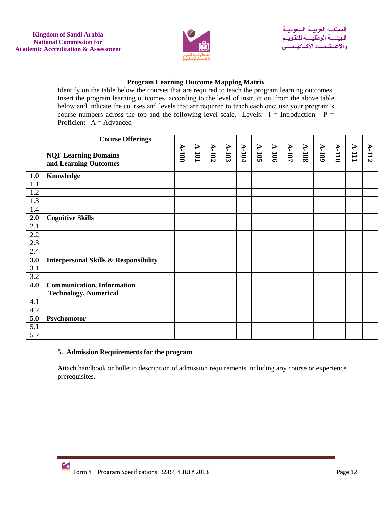

## **Program Learning Outcome Mapping Matrix**

Identify on the table below the courses that are required to teach the program learning outcomes. Insert the program learning outcomes, according to the level of instruction, from the above table below and indicate the courses and levels that are required to teach each one; use your program's course numbers across the top and the following level scale. Levels:  $I = Introduction P =$ Proficient  $A = Advanced$ 

|            | <b>Course Offerings</b>                              |         |                                     |         |         |                   |              |                |       |           |         |         |         |
|------------|------------------------------------------------------|---------|-------------------------------------|---------|---------|-------------------|--------------|----------------|-------|-----------|---------|---------|---------|
|            | <b>NQF Learning Domains</b><br>and Learning Outcomes | $A-100$ | $\frac{\text{A-102}}{\text{A-101}}$ | $A-103$ | $A-104$ | $\frac{105}{105}$ | <b>A-106</b> | $\Lambda$ -107 | A-108 | $A - 109$ | $A-110$ | $V-III$ | $A-112$ |
| 1.0        | Knowledge                                            |         |                                     |         |         |                   |              |                |       |           |         |         |         |
| 1.1        |                                                      |         |                                     |         |         |                   |              |                |       |           |         |         |         |
| 1.2        |                                                      |         |                                     |         |         |                   |              |                |       |           |         |         |         |
| 1.3        |                                                      |         |                                     |         |         |                   |              |                |       |           |         |         |         |
| 1.4        |                                                      |         |                                     |         |         |                   |              |                |       |           |         |         |         |
| 2.0<br>2.1 | <b>Cognitive Skills</b>                              |         |                                     |         |         |                   |              |                |       |           |         |         |         |
| 2.2        |                                                      |         |                                     |         |         |                   |              |                |       |           |         |         |         |
| 2.3        |                                                      |         |                                     |         |         |                   |              |                |       |           |         |         |         |
| 2.4        |                                                      |         |                                     |         |         |                   |              |                |       |           |         |         |         |
| 3.0        | <b>Interpersonal Skills &amp; Responsibility</b>     |         |                                     |         |         |                   |              |                |       |           |         |         |         |
| 3.1        |                                                      |         |                                     |         |         |                   |              |                |       |           |         |         |         |
| 3.2        |                                                      |         |                                     |         |         |                   |              |                |       |           |         |         |         |
| 4.0        | <b>Communication, Information</b>                    |         |                                     |         |         |                   |              |                |       |           |         |         |         |
|            | <b>Technology, Numerical</b>                         |         |                                     |         |         |                   |              |                |       |           |         |         |         |
| 4.1        |                                                      |         |                                     |         |         |                   |              |                |       |           |         |         |         |
| 4.2        |                                                      |         |                                     |         |         |                   |              |                |       |           |         |         |         |
| 5.0        | Psychomotor                                          |         |                                     |         |         |                   |              |                |       |           |         |         |         |
| 5.1        |                                                      |         |                                     |         |         |                   |              |                |       |           |         |         |         |
| 5.2        |                                                      |         |                                     |         |         |                   |              |                |       |           |         |         |         |

### **5. Admission Requirements for the program**

Attach handbook or bulletin description of admission requirements including any course or experience prerequisites**.**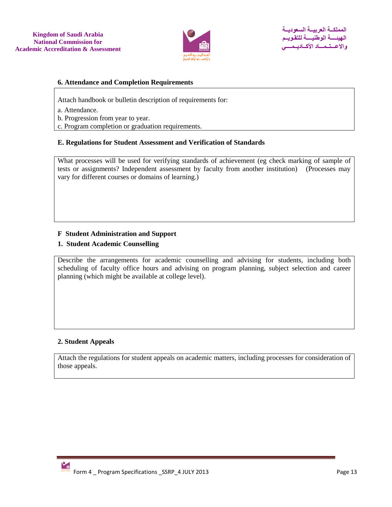

#### **6. Attendance and Completion Requirements**

Attach handbook or bulletin description of requirements for:

- a. Attendance.
- b. Progression from year to year.
- c. Program completion or graduation requirements.

#### **E. Regulations for Student Assessment and Verification of Standards**

What processes will be used for verifying standards of achievement (eg check marking of sample of tests or assignments? Independent assessment by faculty from another institution) (Processes may vary for different courses or domains of learning.)

### **F Student Administration and Support**

### **1. Student Academic Counselling**

Describe the arrangements for academic counselling and advising for students, including both scheduling of faculty office hours and advising on program planning, subject selection and career planning (which might be available at college level).

### **2. Student Appeals**

Attach the regulations for student appeals on academic matters, including processes for consideration of those appeals.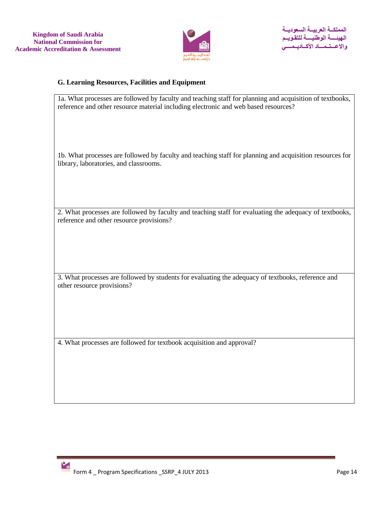

# **G. Learning Resources, Facilities and Equipment**

| 1a. What processes are followed by faculty and teaching staff for planning and acquisition of textbooks,<br>reference and other resource material including electronic and web based resources? |
|-------------------------------------------------------------------------------------------------------------------------------------------------------------------------------------------------|
| 1b. What processes are followed by faculty and teaching staff for planning and acquisition resources for<br>library, laboratories, and classrooms.                                              |
| 2. What processes are followed by faculty and teaching staff for evaluating the adequacy of textbooks,<br>reference and other resource provisions?                                              |
| 3. What processes are followed by students for evaluating the adequacy of textbooks, reference and<br>other resource provisions?                                                                |
| 4. What processes are followed for textbook acquisition and approval?                                                                                                                           |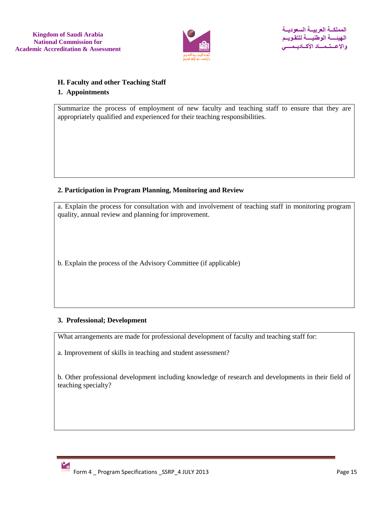

## **H. Faculty and other Teaching Staff**

### **1. Appointments**

Summarize the process of employment of new faculty and teaching staff to ensure that they are appropriately qualified and experienced for their teaching responsibilities.

## **2. Participation in Program Planning, Monitoring and Review**

a. Explain the process for consultation with and involvement of teaching staff in monitoring program quality, annual review and planning for improvement.

b. Explain the process of the Advisory Committee (if applicable)

## **3. Professional; Development**

What arrangements are made for professional development of faculty and teaching staff for:

a. Improvement of skills in teaching and student assessment?

b. Other professional development including knowledge of research and developments in their field of teaching specialty?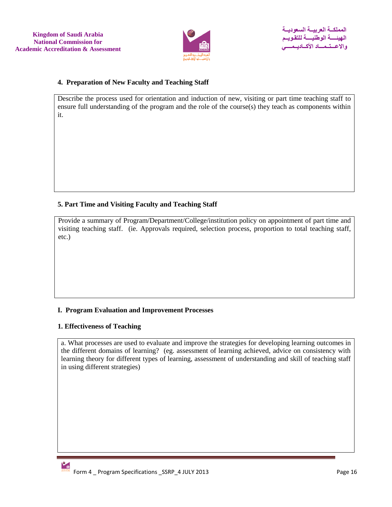

### **4. Preparation of New Faculty and Teaching Staff**

Describe the process used for orientation and induction of new, visiting or part time teaching staff to ensure full understanding of the program and the role of the course(s) they teach as components within it.

## **5. Part Time and Visiting Faculty and Teaching Staff**

Provide a summary of Program/Department/College/institution policy on appointment of part time and visiting teaching staff. (ie. Approvals required, selection process, proportion to total teaching staff, etc.)

### **I. Program Evaluation and Improvement Processes**

### **1. Effectiveness of Teaching**

a. What processes are used to evaluate and improve the strategies for developing learning outcomes in the different domains of learning? (eg. assessment of learning achieved, advice on consistency with learning theory for different types of learning, assessment of understanding and skill of teaching staff in using different strategies)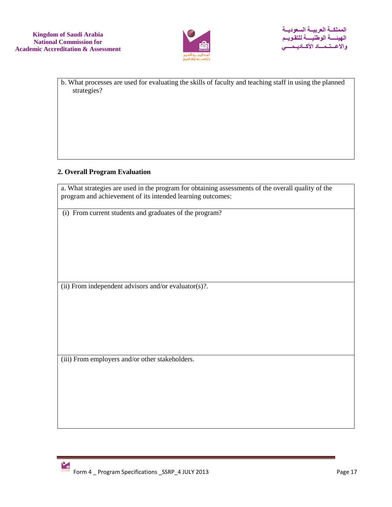

b. What processes are used for evaluating the skills of faculty and teaching staff in using the planned strategies?

## **2. Overall Program Evaluation**

a. What strategies are used in the program for obtaining assessments of the overall quality of the program and achievement of its intended learning outcomes:

(i) From current students and graduates of the program?

(ii) From independent advisors and/or evaluator(s)?.

(iii) From employers and/or other stakeholders.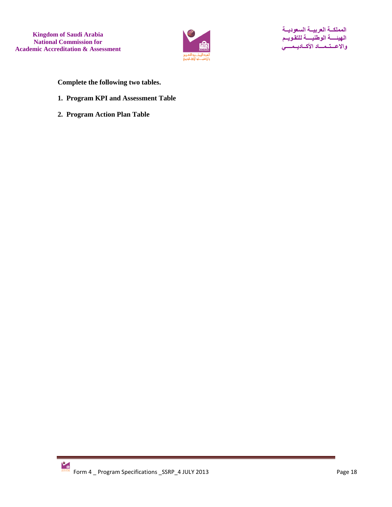

**Complete the following two tables.**

- **1. Program KPI and Assessment Table**
- **2. Program Action Plan Table**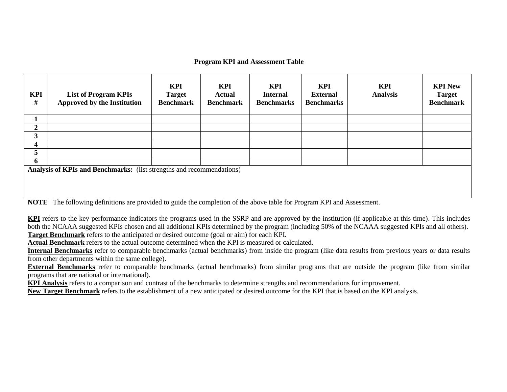#### **Program KPI and Assessment Table**

| <b>KPI</b><br># | <b>List of Program KPIs</b><br>Approved by the Institution            | KPI<br><b>Target</b><br><b>Benchmark</b> | KPI<br><b>Actual</b><br><b>Benchmark</b> | <b>KPI</b><br><b>Internal</b><br><b>Benchmarks</b> | <b>KPI</b><br><b>External</b><br><b>Benchmarks</b> | <b>KPI</b><br><b>Analysis</b> | <b>KPI New</b><br><b>Target</b><br><b>Benchmark</b> |  |  |  |  |
|-----------------|-----------------------------------------------------------------------|------------------------------------------|------------------------------------------|----------------------------------------------------|----------------------------------------------------|-------------------------------|-----------------------------------------------------|--|--|--|--|
|                 |                                                                       |                                          |                                          |                                                    |                                                    |                               |                                                     |  |  |  |  |
| $\overline{2}$  |                                                                       |                                          |                                          |                                                    |                                                    |                               |                                                     |  |  |  |  |
| 3               |                                                                       |                                          |                                          |                                                    |                                                    |                               |                                                     |  |  |  |  |
| 4               |                                                                       |                                          |                                          |                                                    |                                                    |                               |                                                     |  |  |  |  |
| 5               |                                                                       |                                          |                                          |                                                    |                                                    |                               |                                                     |  |  |  |  |
| 6               |                                                                       |                                          |                                          |                                                    |                                                    |                               |                                                     |  |  |  |  |
|                 | Analysis of KPIs and Benchmarks: (list strengths and recommendations) |                                          |                                          |                                                    |                                                    |                               |                                                     |  |  |  |  |

**NOTE** The following definitions are provided to guide the completion of the above table for Program KPI and Assessment.

**KPI** refers to the key performance indicators the programs used in the SSRP and are approved by the institution (if applicable at this time). This includes both the NCAAA suggested KPIs chosen and all additional KPIs determined by the program (including 50% of the NCAAA suggested KPIs and all others). **Target Benchmark** refers to the anticipated or desired outcome (goal or aim) for each KPI.

**Actual Benchmark** refers to the actual outcome determined when the KPI is measured or calculated.

**Internal Benchmarks** refer to comparable benchmarks (actual benchmarks) from inside the program (like data results from previous years or data results from other departments within the same college).

**External Benchmarks** refer to comparable benchmarks (actual benchmarks) from similar programs that are outside the program (like from similar programs that are national or international).

**KPI Analysis** refers to a comparison and contrast of the benchmarks to determine strengths and recommendations for improvement.

**New Target Benchmark** refers to the establishment of a new anticipated or desired outcome for the KPI that is based on the KPI analysis.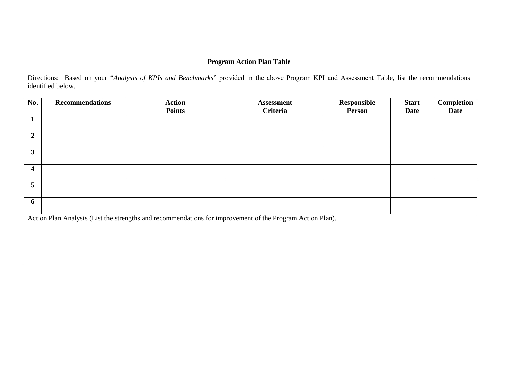## **Program Action Plan Table**

Directions: Based on your "*Analysis of KPIs and Benchmarks*" provided in the above Program KPI and Assessment Table, list the recommendations identified below.

| No.                     | <b>Recommendations</b> | <b>Action</b>                                                                                             | <b>Assessment</b> | Responsible | <b>Start</b> | Completion |
|-------------------------|------------------------|-----------------------------------------------------------------------------------------------------------|-------------------|-------------|--------------|------------|
|                         |                        | <b>Points</b>                                                                                             | <b>Criteria</b>   | Person      | Date         | Date       |
| $\mathbf{1}$            |                        |                                                                                                           |                   |             |              |            |
|                         |                        |                                                                                                           |                   |             |              |            |
| $\overline{2}$          |                        |                                                                                                           |                   |             |              |            |
| $\mathbf{3}$            |                        |                                                                                                           |                   |             |              |            |
| $\overline{\mathbf{4}}$ |                        |                                                                                                           |                   |             |              |            |
| 5                       |                        |                                                                                                           |                   |             |              |            |
| 6                       |                        |                                                                                                           |                   |             |              |            |
|                         |                        | Action Plan Analysis (List the strengths and recommendations for improvement of the Program Action Plan). |                   |             |              |            |
|                         |                        |                                                                                                           |                   |             |              |            |
|                         |                        |                                                                                                           |                   |             |              |            |
|                         |                        |                                                                                                           |                   |             |              |            |
|                         |                        |                                                                                                           |                   |             |              |            |
|                         |                        |                                                                                                           |                   |             |              |            |